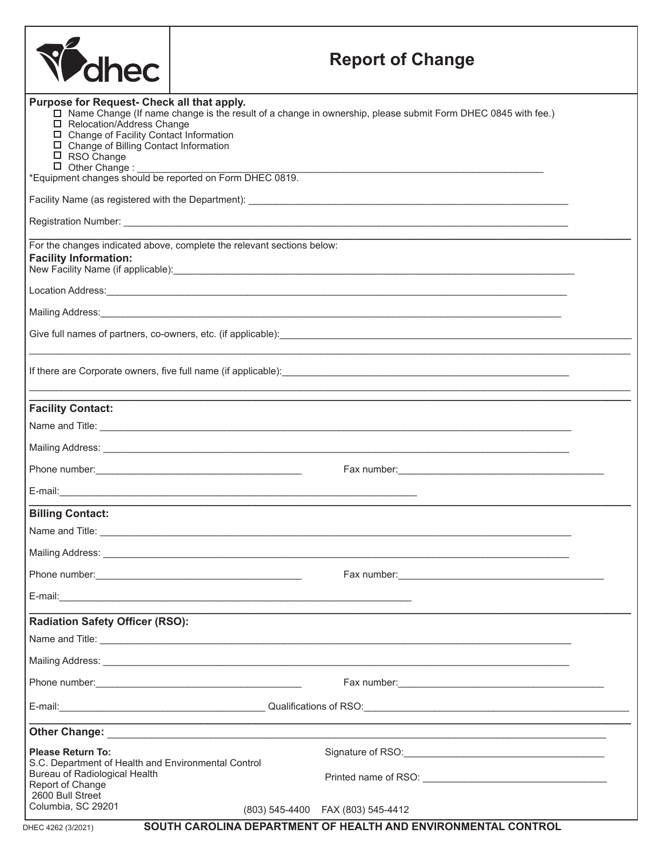|                                                                                                                                                                                                                                                                                                                                                                                               |  | <b>Report of Change</b>                                                                                                                                                                                                             |  |
|-----------------------------------------------------------------------------------------------------------------------------------------------------------------------------------------------------------------------------------------------------------------------------------------------------------------------------------------------------------------------------------------------|--|-------------------------------------------------------------------------------------------------------------------------------------------------------------------------------------------------------------------------------------|--|
| Purpose for Request- Check all that apply.<br>□ Name Change (If name change is the result of a change in ownership, please submit Form DHEC 0845 with fee.)<br>□ Relocation/Address Change<br>□ Change of Facility Contact Information<br>□ Change of Billing Contact Information<br>□ RSO Change<br>D Other Change : ___________<br>*Equipment changes should be reported on Form DHEC 0819. |  |                                                                                                                                                                                                                                     |  |
|                                                                                                                                                                                                                                                                                                                                                                                               |  |                                                                                                                                                                                                                                     |  |
|                                                                                                                                                                                                                                                                                                                                                                                               |  |                                                                                                                                                                                                                                     |  |
| For the changes indicated above, complete the relevant sections below:<br><b>Facility Information:</b><br>New Facility Name (if applicable): Manual Assembly and the contract of the contract of the contract of the contract of the contract of the contract of the contract of the contract of the contract of the contract of the con                                                      |  |                                                                                                                                                                                                                                     |  |
| Location Address: Letters and the contract of the contract of the contract of the contract of the contract of the contract of the contract of the contract of the contract of the contract of the contract of the contract of                                                                                                                                                                 |  |                                                                                                                                                                                                                                     |  |
|                                                                                                                                                                                                                                                                                                                                                                                               |  |                                                                                                                                                                                                                                     |  |
| Give full names of partners, co-owners, etc. (if applicable): \\espirit \\espirit \\espirit \\espirit \\espirit                                                                                                                                                                                                                                                                               |  |                                                                                                                                                                                                                                     |  |
|                                                                                                                                                                                                                                                                                                                                                                                               |  |                                                                                                                                                                                                                                     |  |
| <b>Facility Contact:</b>                                                                                                                                                                                                                                                                                                                                                                      |  |                                                                                                                                                                                                                                     |  |
|                                                                                                                                                                                                                                                                                                                                                                                               |  |                                                                                                                                                                                                                                     |  |
|                                                                                                                                                                                                                                                                                                                                                                                               |  |                                                                                                                                                                                                                                     |  |
|                                                                                                                                                                                                                                                                                                                                                                                               |  |                                                                                                                                                                                                                                     |  |
|                                                                                                                                                                                                                                                                                                                                                                                               |  |                                                                                                                                                                                                                                     |  |
| <b>Billing Contact:</b>                                                                                                                                                                                                                                                                                                                                                                       |  |                                                                                                                                                                                                                                     |  |
|                                                                                                                                                                                                                                                                                                                                                                                               |  |                                                                                                                                                                                                                                     |  |
|                                                                                                                                                                                                                                                                                                                                                                                               |  |                                                                                                                                                                                                                                     |  |
|                                                                                                                                                                                                                                                                                                                                                                                               |  |                                                                                                                                                                                                                                     |  |
| E-mail: <u>Alexander Alexander and Alexander and Alexander and Alexander and Alexander and Alexander and Alexander</u>                                                                                                                                                                                                                                                                        |  |                                                                                                                                                                                                                                     |  |
| <b>Radiation Safety Officer (RSO):</b>                                                                                                                                                                                                                                                                                                                                                        |  |                                                                                                                                                                                                                                     |  |
|                                                                                                                                                                                                                                                                                                                                                                                               |  |                                                                                                                                                                                                                                     |  |
|                                                                                                                                                                                                                                                                                                                                                                                               |  | Mailing Address: <u>Communications</u> Contract and Contract Contract Contract Contract Contract Contract Contract Contract Contract Contract Contract Contract Contract Contract Contract Contract Contract Contract Contract Cont |  |
|                                                                                                                                                                                                                                                                                                                                                                                               |  |                                                                                                                                                                                                                                     |  |
|                                                                                                                                                                                                                                                                                                                                                                                               |  |                                                                                                                                                                                                                                     |  |
|                                                                                                                                                                                                                                                                                                                                                                                               |  |                                                                                                                                                                                                                                     |  |
| Please Return To:<br>S.C. Department of Health and Environmental Control                                                                                                                                                                                                                                                                                                                      |  | Signature of RSO: CONSERVING CONSERVERSION CONSERVERSION CONSERVERSION CONSERVERSION CONSERVERSION CONSERVERSION                                                                                                                    |  |
| Bureau of Radiological Health<br>Report of Change<br>2600 Bull Street                                                                                                                                                                                                                                                                                                                         |  |                                                                                                                                                                                                                                     |  |
| Columbia, SC 29201                                                                                                                                                                                                                                                                                                                                                                            |  | (803) 545-4400  FAX (803) 545-4412                                                                                                                                                                                                  |  |
| SOUTH CAROLINA DEPARTMENT OF HEALTH AND ENVIRONMENTAL CONTROL<br>DHEC 4262 (3/2021)                                                                                                                                                                                                                                                                                                           |  |                                                                                                                                                                                                                                     |  |